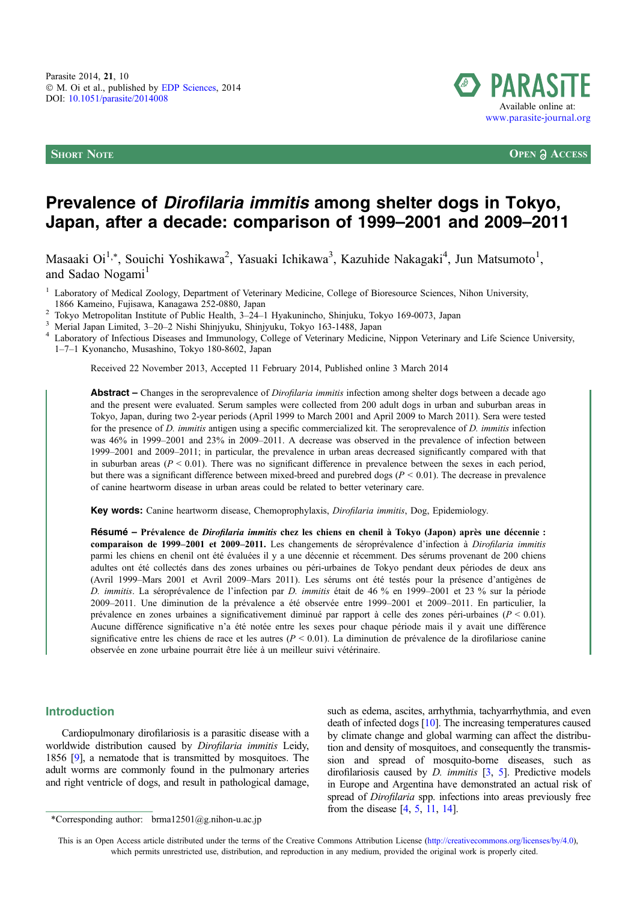

**SHORT NOTE OPEN**  $\partial$  **ACCESS** 

# Prevalence of Dirofilaria immitis among shelter dogs in Tokyo, Japan, after a decade: comparison of 1999–2001 and 2009–2011

Masaaki Oi<sup>1,</sup>\*, Souichi Yoshikawa<sup>2</sup>, Yasuaki Ichikawa<sup>3</sup>, Kazuhide Nakagaki<sup>4</sup>, Jun Matsumoto<sup>1</sup>, and Sadao Nogami<sup>1</sup>

<sup>1</sup> Laboratory of Medical Zoology, Department of Veterinary Medicine, College of Bioresource Sciences, Nihon University, 1866 Kameino, Fujisawa, Kanagawa 252-0880, Japan

<sup>2</sup> Tokyo Metropolitan Institute of Public Health, 3–24–1 Hyakunincho, Shinjuku, Tokyo 169-0073, Japan<br><sup>3</sup> Merial Japan Limited, 3–20–2 Nishi Shinjyuku, Shinjyuku, Tokyo 163-1488, Japan<br><sup>4</sup> Laboratory of Infectious Disease 1–7–1 Kyonancho, Musashino, Tokyo 180-8602, Japan

Received 22 November 2013, Accepted 11 February 2014, Published online 3 March 2014

Abstract – Changes in the seroprevalence of *Dirofilaria immitis* infection among shelter dogs between a decade ago and the present were evaluated. Serum samples were collected from 200 adult dogs in urban and suburban areas in Tokyo, Japan, during two 2-year periods (April 1999 to March 2001 and April 2009 to March 2011). Sera were tested for the presence of D. immitis antigen using a specific commercialized kit. The seroprevalence of D. immitis infection was 46% in 1999–2001 and 23% in 2009–2011. A decrease was observed in the prevalence of infection between 1999–2001 and 2009–2011; in particular, the prevalence in urban areas decreased significantly compared with that in suburban areas ( $P < 0.01$ ). There was no significant difference in prevalence between the sexes in each period, but there was a significant difference between mixed-breed and purebred dogs ( $P \le 0.01$ ). The decrease in prevalence of canine heartworm disease in urban areas could be related to better veterinary care.

Key words: Canine heartworm disease, Chemoprophylaxis, Dirofilaria immitis, Dog, Epidemiology.

Résumé – Prévalence de *Dirofilaria immitis* chez les chiens en chenil à Tokyo (Japon) après une décennie : comparaison de 1999–2001 et 2009–2011. Les changements de séroprévalence d'infection à Dirofilaria immitis parmi les chiens en chenil ont été évaluées il y a une décennie et récemment. Des sérums provenant de 200 chiens adultes ont été collectés dans des zones urbaines ou péri-urbaines de Tokyo pendant deux périodes de deux ans (Avril 1999–Mars 2001 et Avril 2009–Mars 2011). Les sérums ont été testés pour la présence d'antigènes de D. immitis. La séroprévalence de l'infection par D. immitis était de 46 % en 1999–2001 et 23 % sur la période 2009–2011. Une diminution de la prévalence a été observée entre 1999–2001 et 2009–2011. En particulier, la prévalence en zones urbaines a significativement diminué par rapport à celle des zones péri-urbaines ( $P < 0.01$ ). Aucune différence significative n'a été notée entre les sexes pour chaque période mais il y avait une différence significative entre les chiens de race et les autres ( $P < 0.01$ ). La diminution de prévalence de la dirofilariose canine observée en zone urbaine pourrait être liée à un meilleur suivi vétérinaire.

#### Introduction

Cardiopulmonary dirofilariosis is a parasitic disease with a worldwide distribution caused by Dirofilaria immitis Leidy, 1856 [\[9\]](#page-2-0), a nematode that is transmitted by mosquitoes. The adult worms are commonly found in the pulmonary arteries and right ventricle of dogs, and result in pathological damage, such as edema, ascites, arrhythmia, tachyarrhythmia, and even death of infected dogs [\[10](#page-2-0)]. The increasing temperatures caused by climate change and global warming can affect the distribution and density of mosquitoes, and consequently the transmission and spread of mosquito-borne diseases, such as dirofilariosis caused by  $D$ . *immitis*  $\lceil 3, 5 \rceil$ . Predictive models in Europe and Argentina have demonstrated an actual risk of spread of Dirofilaria spp. infections into areas previously free from the disease [\[4](#page-2-0), [5,](#page-2-0) [11,](#page-2-0) [14](#page-2-0)].

This is an Open Access article distributed under the terms of the Creative Commons Attribution License ([http://creativecommons.org/licenses/by/4.0\),](http://creativecommons.org/licenses/by/4.0/) [which permits unrestricted use, distribution, and reproduction in any medium, provided the original work is properly cited.](http://creativecommons.org/licenses/by/4.0/)

<sup>\*</sup>Corresponding author:  $brmal2501@g.nihon-u.ac.jp$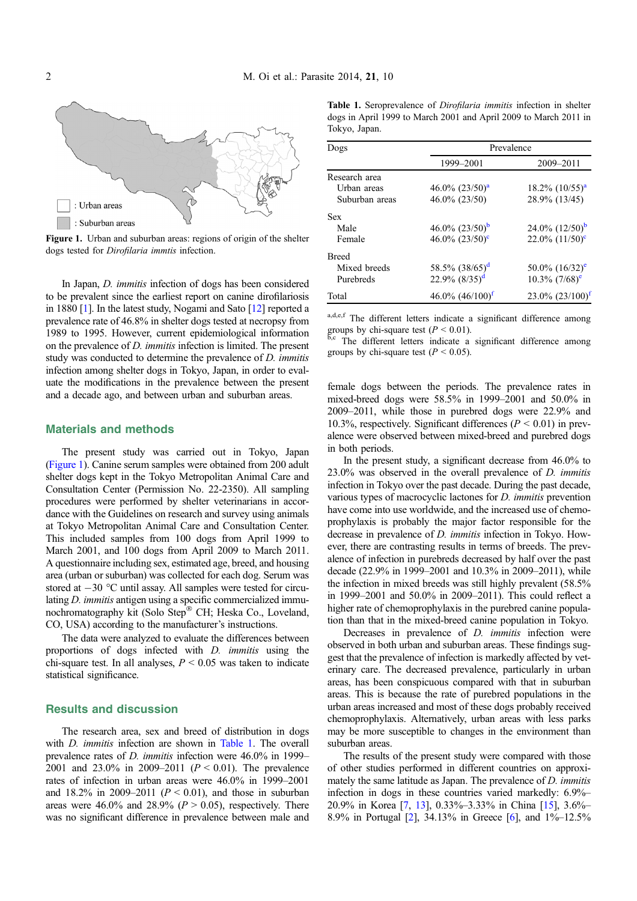

Figure 1. Urban and suburban areas: regions of origin of the shelter dogs tested for Dirofilaria immtis infection.

In Japan, D. immitis infection of dogs has been considered to be prevalent since the earliest report on canine dirofilariosis in 1880 [\[1](#page-2-0)]. In the latest study, Nogami and Sato [\[12\]](#page-2-0) reported a prevalence rate of 46.8% in shelter dogs tested at necropsy from 1989 to 1995. However, current epidemiological information on the prevalence of D. immitis infection is limited. The present study was conducted to determine the prevalence of D. immitis infection among shelter dogs in Tokyo, Japan, in order to evaluate the modifications in the prevalence between the present and a decade ago, and between urban and suburban areas.

#### Materials and methods

The present study was carried out in Tokyo, Japan (Figure 1). Canine serum samples were obtained from 200 adult shelter dogs kept in the Tokyo Metropolitan Animal Care and Consultation Center (Permission No. 22-2350). All sampling procedures were performed by shelter veterinarians in accordance with the Guidelines on research and survey using animals at Tokyo Metropolitan Animal Care and Consultation Center. This included samples from 100 dogs from April 1999 to March 2001, and 100 dogs from April 2009 to March 2011. A questionnaire including sex, estimated age, breed, and housing area (urban or suburban) was collected for each dog. Serum was stored at  $-30$  °C until assay. All samples were tested for circulating *D. immitis* antigen using a specific commercialized immunochromatography kit (Solo Step® CH; Heska Co., Loveland, CO, USA) according to the manufacturer's instructions.

The data were analyzed to evaluate the differences between proportions of dogs infected with D. immitis using the chi-square test. In all analyses,  $P \leq 0.05$  was taken to indicate statistical significance.

### Results and discussion

The research area, sex and breed of distribution in dogs with *D. immitis* infection are shown in Table 1. The overall prevalence rates of D. immitis infection were 46.0% in 1999– 2001 and 23.0% in 2009–2011 ( $P < 0.01$ ). The prevalence rates of infection in urban areas were 46.0% in 1999–2001 and 18.2% in 2009–2011 ( $P < 0.01$ ), and those in suburban areas were 46.0% and 28.9% ( $P > 0.05$ ), respectively. There was no significant difference in prevalence between male and

| <b>Table 1.</b> Seroprevalence of <i>Dirofilaria immitis</i> infection in shelter |  |  |
|-----------------------------------------------------------------------------------|--|--|
| dogs in April 1999 to March 2001 and April 2009 to March 2011 in                  |  |  |
| Tokyo, Japan.                                                                     |  |  |

| Dogs           | Prevalence                     |                              |  |
|----------------|--------------------------------|------------------------------|--|
|                | 1999-2001                      | 2009-2011                    |  |
| Research area  |                                |                              |  |
| Urban areas    | $46.0\%$ $(23/50)^a$           | $18.2\%$ $(10/55)^{a}$       |  |
| Suburban areas | 46.0% (23/50)                  | 28.9% (13/45)                |  |
| <b>Sex</b>     |                                |                              |  |
| Male           | 46.0% $(23/50)^b$              | $24.0\%$ $(12/50)^b$         |  |
| Female         | 46.0% $(23/50)$ <sup>c</sup>   | 22.0% $(11/50)^c$            |  |
| <b>Breed</b>   |                                |                              |  |
| Mixed breeds   | 58.5% $(38/65)^d$              | $50.0\%$ $(16/32)^e$         |  |
| Purebreds      | $22.9\%$ $(8/35)^d$            | $10.3\%$ (7/68) <sup>e</sup> |  |
| Total          | $46.0\%$ $(46/100)^{\text{f}}$ | $23.0\%$ $(23/100)^{t}$      |  |

a,d,e,f The different letters indicate a significant difference among groups by chi-square test  $(P < 0.01)$ .

b,c The different letters indicate a significant difference among groups by chi-square test  $(P < 0.05)$ .

female dogs between the periods. The prevalence rates in mixed-breed dogs were 58.5% in 1999–2001 and 50.0% in 2009–2011, while those in purebred dogs were 22.9% and 10.3%, respectively. Significant differences ( $P < 0.01$ ) in prevalence were observed between mixed-breed and purebred dogs in both periods.

In the present study, a significant decrease from 46.0% to 23.0% was observed in the overall prevalence of D. immitis infection in Tokyo over the past decade. During the past decade, various types of macrocyclic lactones for D. immitis prevention have come into use worldwide, and the increased use of chemoprophylaxis is probably the major factor responsible for the decrease in prevalence of D. immitis infection in Tokyo. However, there are contrasting results in terms of breeds. The prevalence of infection in purebreds decreased by half over the past decade (22.9% in 1999–2001 and 10.3% in 2009–2011), while the infection in mixed breeds was still highly prevalent (58.5% in 1999–2001 and 50.0% in 2009–2011). This could reflect a higher rate of chemoprophylaxis in the purebred canine population than that in the mixed-breed canine population in Tokyo.

Decreases in prevalence of *D. immitis* infection were observed in both urban and suburban areas. These findings suggest that the prevalence of infection is markedly affected by veterinary care. The decreased prevalence, particularly in urban areas, has been conspicuous compared with that in suburban areas. This is because the rate of purebred populations in the urban areas increased and most of these dogs probably received chemoprophylaxis. Alternatively, urban areas with less parks may be more susceptible to changes in the environment than suburban areas.

The results of the present study were compared with those of other studies performed in different countries on approximately the same latitude as Japan. The prevalence of D. immitis infection in dogs in these countries varied markedly: 6.9%– 20.9% in Korea [\[7](#page-2-0), [13](#page-2-0)], 0.33%–3.33% in China [[15](#page-2-0)], 3.6%– 8.9% in Portugal [\[2](#page-2-0)], 34.13% in Greece [\[6](#page-2-0)], and 1%–12.5%